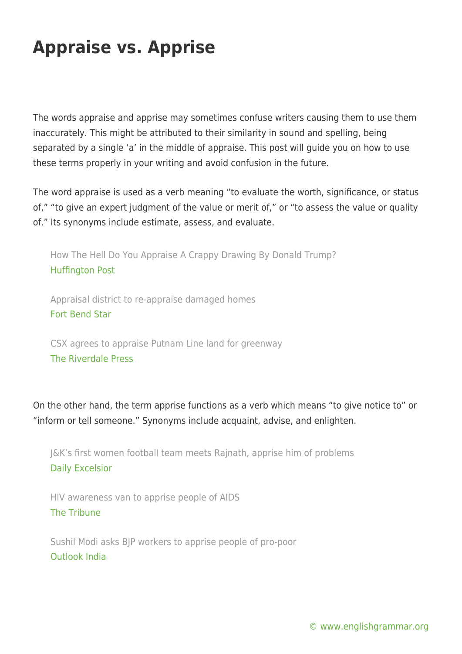## **Appraise vs. Apprise**

The words appraise and apprise may sometimes confuse writers causing them to use them inaccurately. This might be attributed to their similarity in sound and spelling, being separated by a single 'a' in the middle of appraise. This post will guide you on how to use these terms properly in your writing and avoid confusion in the future.

The word appraise is used as a verb meaning "to evaluate the worth, significance, or status of," "to give an expert judgment of the value or merit of," or "to assess the value or quality of." Its synonyms include estimate, assess, and evaluate.

How The Hell Do You Appraise A Crappy Drawing By Donald Trump? [Huffington Post](https://www.huffingtonpost.com/entry/donald-trump-drawing-appraise_us_59b15d6ce4b0354e440fefa5)

Appraisal district to re-appraise damaged homes [Fort Bend Star](http://www.fortbendstar.com/appraisal-district-to-re-appraise-damaged-homes/)

CSX agrees to appraise Putnam Line land for greenway [The Riverdale Press](http://riverdalepress.com/stories/csx-agrees-to-appraise-putnam-line-land-for-greenway,62835)

On the other hand, the term apprise functions as a verb which means "to give notice to" or "inform or tell someone." Synonyms include acquaint, advise, and enlighten.

J&K's first women football team meets Rajnath, apprise him of problems [Daily Excelsior](http://www.dailyexcelsior.com/plus-2-psc-lecturers-apprise-altaf-bukhari-demands/)

HIV awareness van to apprise people of AIDS [The Tribune](http://www.tribuneindia.com/news/amritsar/hiv-awareness-van-to-apprise-people-of-aids/519929.html)

Sushil Modi asks BJP workers to apprise people of pro-poor [Outlook India](https://www.outlookindia.com/newsscroll/sushil-modi-asks-bjp-workers-to-apprise-people-of-propoor/1210358)